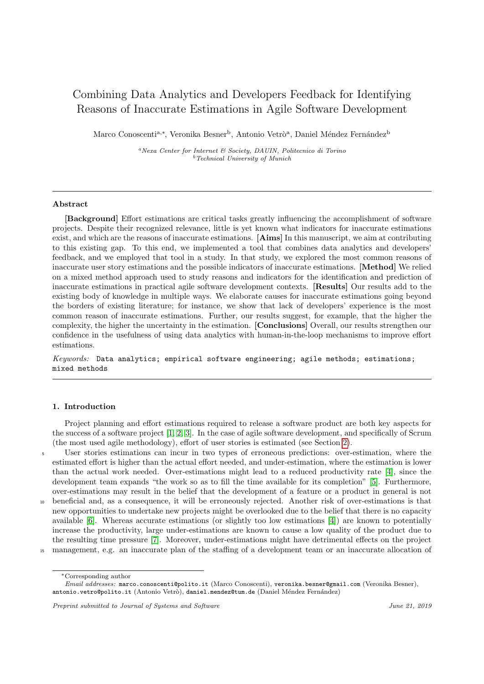# Combining Data Analytics and Developers Feedback for Identifying Reasons of Inaccurate Estimations in Agile Software Development

Marco Conoscenti<sup>a,∗</sup>, Veronika Besner<sup>b</sup>, Antonio Vetrò<sup>a</sup>, Daniel Méndez Fernández<sup>b</sup>

<sup>a</sup>Nexa Center for Internet & Society, DAUIN, Politecnico di Torino  $<sup>b</sup> Technical University of Munich$ </sup>

# Abstract

[Background] Effort estimations are critical tasks greatly influencing the accomplishment of software projects. Despite their recognized relevance, little is yet known what indicators for inaccurate estimations exist, and which are the reasons of inaccurate estimations. [Aims] In this manuscript, we aim at contributing to this existing gap. To this end, we implemented a tool that combines data analytics and developers' feedback, and we employed that tool in a study. In that study, we explored the most common reasons of inaccurate user story estimations and the possible indicators of inaccurate estimations. [Method] We relied on a mixed method approach used to study reasons and indicators for the identification and prediction of inaccurate estimations in practical agile software development contexts. [Results] Our results add to the existing body of knowledge in multiple ways. We elaborate causes for inaccurate estimations going beyond the borders of existing literature; for instance, we show that lack of developers' experience is the most common reason of inaccurate estimations. Further, our results suggest, for example, that the higher the complexity, the higher the uncertainty in the estimation. [Conclusions] Overall, our results strengthen our confidence in the usefulness of using data analytics with human-in-the-loop mechanisms to improve effort estimations.

Keywords: Data analytics; empirical software engineering; agile methods; estimations; mixed methods

# 1. Introduction

Project planning and effort estimations required to release a software product are both key aspects for the success of a software project [\[1,](#page-14-0) [2,](#page-14-1) [3\]](#page-14-2). In the case of agile software development, and specifically of Scrum (the most used agile methodology), effort of user stories is estimated (see Section [2\)](#page-1-0).

<sup>5</sup> User stories estimations can incur in two types of erroneous predictions: over-estimation, where the estimated effort is higher than the actual effort needed, and under-estimation, where the estimation is lower than the actual work needed. Over-estimations might lead to a reduced productivity rate [\[4\]](#page-14-3), since the development team expands "the work so as to fill the time available for its completion" [\[5\]](#page-14-4). Furthermore, over-estimations may result in the belief that the development of a feature or a product in general is not

<sup>10</sup> beneficial and, as a consequence, it will be erroneously rejected. Another risk of over-estimations is that new opportunities to undertake new projects might be overlooked due to the belief that there is no capacity available [\[6\]](#page-14-5). Whereas accurate estimations (or slightly too low estimations [\[4\]](#page-14-3)) are known to potentially increase the productivity, large under-estimations are known to cause a low quality of the product due to the resulting time pressure [\[7\]](#page-14-6). Moreover, under-estimations might have detrimental effects on the project <sup>15</sup> management, e.g. an inaccurate plan of the staffing of a development team or an inaccurate allocation of

<sup>∗</sup>Corresponding author

Email addresses: marco.conoscenti@polito.it (Marco Conoscenti), veronika.besner@gmail.com (Veronika Besner), antonio.vetro@polito.it (Antonio Vetrò), daniel.mendez@tum.de (Daniel Méndez Fernández)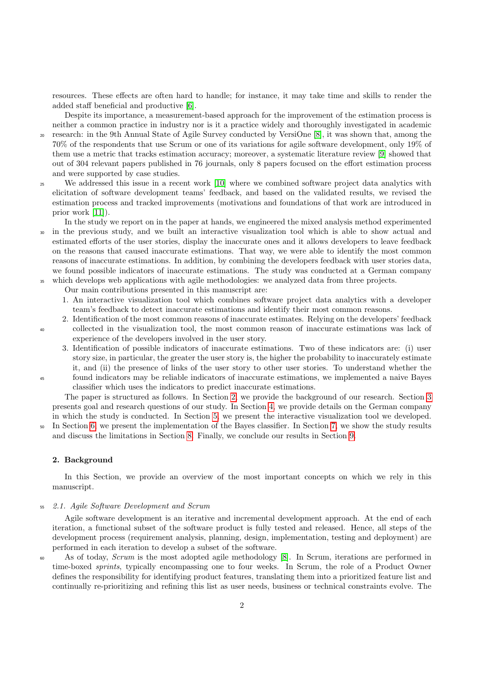resources. These effects are often hard to handle; for instance, it may take time and skills to render the added staff beneficial and productive [\[6\]](#page-14-5).

Despite its importance, a measurement-based approach for the improvement of the estimation process is neither a common practice in industry nor is it a practice widely and thoroughly investigated in academic

- 
- <sup>20</sup> research: in the 9th Annual State of Agile Survey conducted by VersiOne [\[8\]](#page-14-7), it was shown that, among the 70% of the respondents that use Scrum or one of its variations for agile software development, only 19% of them use a metric that tracks estimation accuracy; moreover, a systematic literature review [\[9\]](#page-14-8) showed that out of 304 relevant papers published in 76 journals, only 8 papers focused on the effort estimation process and were supported by case studies.
- <sup>25</sup> We addressed this issue in a recent work [\[10\]](#page-14-9) where we combined software project data analytics with elicitation of software development teams' feedback, and based on the validated results, we revised the estimation process and tracked improvements (motivations and foundations of that work are introduced in prior work [\[11\]](#page-14-10)).

In the study we report on in the paper at hands, we engineered the mixed analysis method experimented

- <sup>30</sup> in the previous study, and we built an interactive visualization tool which is able to show actual and estimated efforts of the user stories, display the inaccurate ones and it allows developers to leave feedback on the reasons that caused inaccurate estimations. That way, we were able to identify the most common reasons of inaccurate estimations. In addition, by combining the developers feedback with user stories data, we found possible indicators of inaccurate estimations. The study was conducted at a German company
- which develops web applications with agile methodologies: we analyzed data from three projects.
	- Our main contributions presented in this manuscript are:
	- 1. An interactive visualization tool which combines software project data analytics with a developer team's feedback to detect inaccurate estimations and identify their most common reasons.
- 2. Identification of the most common reasons of inaccurate estimates. Relying on the developers' feedback <sup>40</sup> collected in the visualization tool, the most common reason of inaccurate estimations was lack of experience of the developers involved in the user story.
	- 3. Identification of possible indicators of inaccurate estimations. Two of these indicators are: (i) user story size, in particular, the greater the user story is, the higher the probability to inaccurately estimate it, and (ii) the presence of links of the user story to other user stories. To understand whether the
- found indicators may be reliable indicators of inaccurate estimations, we implemented a naive Bayes classifier which uses the indicators to predict inaccurate estimations.

The paper is structured as follows. In Section [2,](#page-1-0) we provide the background of our research. Section [3](#page-2-0) presents goal and research questions of our study. In Section [4,](#page-3-0) we provide details on the German company in which the study is conducted. In Section [5,](#page-4-0) we present the interactive visualization tool we developed.

<sup>50</sup> In Section [6,](#page-7-0) we present the implementation of the Bayes classifier. In Section [7,](#page-7-1) we show the study results and discuss the limitations in Section [8.](#page-13-0) Finally, we conclude our results in Section [9.](#page-13-1)

# <span id="page-1-0"></span>2. Background

In this Section, we provide an overview of the most important concepts on which we rely in this manuscript.

# <sup>55</sup> 2.1. Agile Software Development and Scrum

Agile software development is an iterative and incremental development approach. At the end of each iteration, a functional subset of the software product is fully tested and released. Hence, all steps of the development process (requirement analysis, planning, design, implementation, testing and deployment) are performed in each iteration to develop a subset of the software.

<sup>60</sup> As of today, Scrum is the most adopted agile methodology [\[8\]](#page-14-7). In Scrum, iterations are performed in time-boxed sprints, typically encompassing one to four weeks. In Scrum, the role of a Product Owner defines the responsibility for identifying product features, translating them into a prioritized feature list and continually re-prioritizing and refining this list as user needs, business or technical constraints evolve. The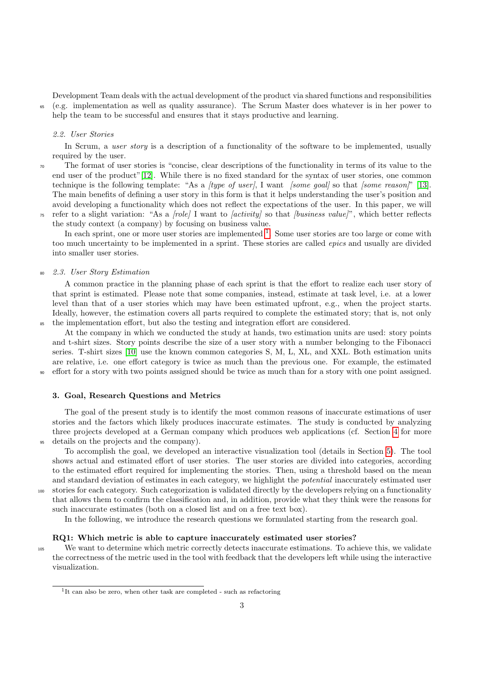Development Team deals with the actual development of the product via shared functions and responsibilities <sup>65</sup> (e.g. implementation as well as quality assurance). The Scrum Master does whatever is in her power to help the team to be successful and ensures that it stays productive and learning.

## 2.2. User Stories

In Scrum, a *user story* is a description of a functionality of the software to be implemented, usually required by the user.

<sup>70</sup> The format of user stories is "concise, clear descriptions of the functionality in terms of its value to the end user of the product"[\[12\]](#page-14-11). While there is no fixed standard for the syntax of user stories, one common technique is the following template: "As a *[type of user]*, I want *[some goal]* so that *[some reason]*" [\[13\]](#page-14-12). The main benefits of defining a user story in this form is that it helps understanding the user's position and avoid developing a functionality which does not reflect the expectations of the user. In this paper, we will  $\tau_5$  refer to a slight variation: "As a *[role]* I want to *[activity]* so that *[business value]*", which better reflects the study context (a company) by focusing on business value.

In each sprint, one or more user stories are implemented  $<sup>1</sup>$  $<sup>1</sup>$  $<sup>1</sup>$ . Some user stories are too large or come with</sup>

too much uncertainty to be implemented in a sprint. These stories are called epics and usually are divided into smaller user stories.

# <sup>80</sup> 2.3. User Story Estimation

A common practice in the planning phase of each sprint is that the effort to realize each user story of that sprint is estimated. Please note that some companies, instead, estimate at task level, i.e. at a lower level than that of a user stories which may have been estimated upfront, e.g., when the project starts. Ideally, however, the estimation covers all parts required to complete the estimated story; that is, not only <sup>85</sup> the implementation effort, but also the testing and integration effort are considered.

At the company in which we conducted the study at hands, two estimation units are used: story points and t-shirt sizes. Story points describe the size of a user story with a number belonging to the Fibonacci series. T-shirt sizes [\[10\]](#page-14-9) use the known common categories S, M, L, XL, and XXL. Both estimation units are relative, i.e. one effort category is twice as much than the previous one. For example, the estimated <sup>90</sup> effort for a story with two points assigned should be twice as much than for a story with one point assigned.

#### <span id="page-2-0"></span>3. Goal, Research Questions and Metrics

The goal of the present study is to identify the most common reasons of inaccurate estimations of user stories and the factors which likely produces inaccurate estimates. The study is conducted by analyzing three projects developed at a German company which produces web applications (cf. Section [4](#page-3-0) for more <sup>95</sup> details on the projects and the company).

To accomplish the goal, we developed an interactive visualization tool (details in Section [5\)](#page-4-0). The tool shows actual and estimated effort of user stories. The user stories are divided into categories, according to the estimated effort required for implementing the stories. Then, using a threshold based on the mean and standard deviation of estimates in each category, we highlight the potential inaccurately estimated user <sup>100</sup> stories for each category. Such categorization is validated directly by the developers relying on a functionality that allows them to confirm the classification and, in addition, provide what they think were the reasons for

In the following, we introduce the research questions we formulated starting from the research goal.

# RQ1: Which metric is able to capture inaccurately estimated user stories?

<sup>105</sup> We want to determine which metric correctly detects inaccurate estimations. To achieve this, we validate the correctness of the metric used in the tool with feedback that the developers left while using the interactive visualization.

such inaccurate estimates (both on a closed list and on a free text box).

<span id="page-2-1"></span><sup>&</sup>lt;sup>1</sup>It can also be zero, when other task are completed - such as refactoring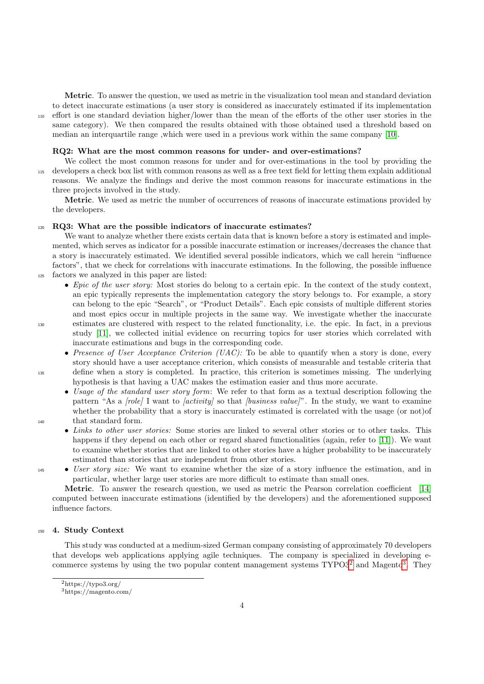Metric. To answer the question, we used as metric in the visualization tool mean and standard deviation to detect inaccurate estimations (a user story is considered as inaccurately estimated if its implementation <sup>110</sup> effort is one standard deviation higher/lower than the mean of the efforts of the other user stories in the same category). We then compared the results obtained with those obtained used a threshold based on median an interquartile range, which were used in a previous work within the same company [\[10\]](#page-14-9).

RQ2: What are the most common reasons for under- and over-estimations?

We collect the most common reasons for under and for over-estimations in the tool by providing the <sup>115</sup> developers a check box list with common reasons as well as a free text field for letting them explain additional reasons. We analyze the findings and derive the most common reasons for inaccurate estimations in the three projects involved in the study.

Metric. We used as metric the number of occurrences of reasons of inaccurate estimations provided by the developers.

# 120 RQ3: What are the possible indicators of inaccurate estimates?

We want to analyze whether there exists certain data that is known before a story is estimated and implemented, which serves as indicator for a possible inaccurate estimation or increases/decreases the chance that a story is inaccurately estimated. We identified several possible indicators, which we call herein "influence factors", that we check for correlations with inaccurate estimations. In the following, the possible influence <sup>125</sup> factors we analyzed in this paper are listed:

- Epic of the user story: Most stories do belong to a certain epic. In the context of the study context, an epic typically represents the implementation category the story belongs to. For example, a story can belong to the epic "Search", or "Product Details". Each epic consists of multiple different stories and most epics occur in multiple projects in the same way. We investigate whether the inaccurate <sup>130</sup> estimates are clustered with respect to the related functionality, i.e. the epic. In fact, in a previous study [\[11\]](#page-14-10), we collected initial evidence on recurring topics for user stories which correlated with inaccurate estimations and bugs in the corresponding code.
- Presence of User Acceptance Criterion (UAC): To be able to quantify when a story is done, every story should have a user acceptance criterion, which consists of measurable and testable criteria that <sup>135</sup> define when a story is completed. In practice, this criterion is sometimes missing. The underlying hypothesis is that having a UAC makes the estimation easier and thus more accurate.
- Usage of the standard user story form: We refer to that form as a textual description following the pattern "As a *[role]* I want to *[activity]* so that *[business value]*". In the study, we want to examine whether the probability that a story is inaccurately estimated is correlated with the usage (or not)of <sup>140</sup> that standard form.
	- Links to other user stories: Some stories are linked to several other stories or to other tasks. This happens if they depend on each other or regard shared functionalities (again, refer to [\[11\]](#page-14-10)). We want to examine whether stories that are linked to other stories have a higher probability to be inaccurately estimated than stories that are independent from other stories.
- <sup>145</sup> User story size: We want to examine whether the size of a story influence the estimation, and in particular, whether large user stories are more difficult to estimate than small ones.

Metric. To answer the research question, we used as metric the Pearson correlation coefficient [\[14\]](#page-14-13) computed between inaccurate estimations (identified by the developers) and the aforementioned supposed influence factors.

# <span id="page-3-0"></span><sup>150</sup> 4. Study Context

This study was conducted at a medium-sized German company consisting of approximately 70 developers that develops web applications applying agile techniques. The company is specialized in developing e-commerce systems by using the two popular content management systems TYPO3<sup>[2](#page-3-1)</sup> and Magento<sup>[3](#page-3-2)</sup>. They

- 
- 

<span id="page-3-1"></span><sup>2</sup>https://typo3.org/

<span id="page-3-2"></span><sup>3</sup>https://magento.com/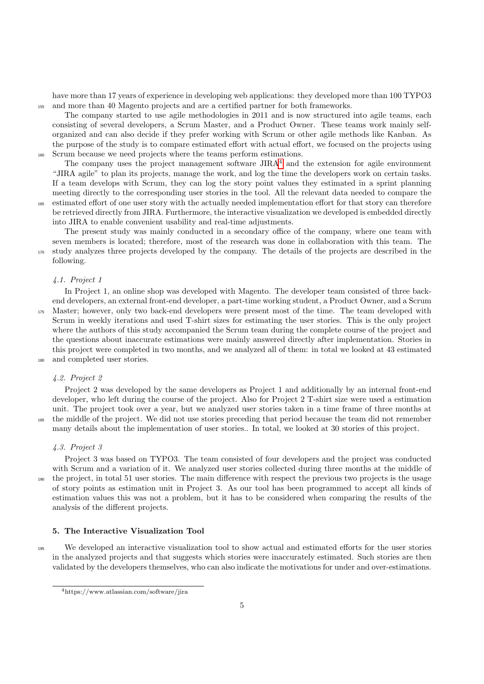have more than 17 years of experience in developing web applications: they developed more than 100 TYPO3 <sup>155</sup> and more than 40 Magento projects and are a certified partner for both frameworks.

The company started to use agile methodologies in 2011 and is now structured into agile teams, each consisting of several developers, a Scrum Master, and a Product Owner. These teams work mainly selforganized and can also decide if they prefer working with Scrum or other agile methods like Kanban. As the purpose of the study is to compare estimated effort with actual effort, we focused on the projects using <sup>160</sup> Scrum because we need projects where the teams perform estimations.

The company uses the project management software  $JIRA<sup>4</sup>$  $JIRA<sup>4</sup>$  $JIRA<sup>4</sup>$  and the extension for agile environment "JIRA agile" to plan its projects, manage the work, and log the time the developers work on certain tasks. If a team develops with Scrum, they can log the story point values they estimated in a sprint planning meeting directly to the corresponding user stories in the tool. All the relevant data needed to compare the <sup>165</sup> estimated effort of one user story with the actually needed implementation effort for that story can therefore

be retrieved directly from JIRA. Furthermore, the interactive visualization we developed is embedded directly into JIRA to enable convenient usability and real-time adjustments.

The present study was mainly conducted in a secondary office of the company, where one team with seven members is located; therefore, most of the research was done in collaboration with this team. The <sup>170</sup> study analyzes three projects developed by the company. The details of the projects are described in the following.

# 4.1. Project 1

In Project 1, an online shop was developed with Magento. The developer team consisted of three backend developers, an external front-end developer, a part-time working student, a Product Owner, and a Scrum <sup>175</sup> Master; however, only two back-end developers were present most of the time. The team developed with Scrum in weekly iterations and used T-shirt sizes for estimating the user stories. This is the only project where the authors of this study accompanied the Scrum team during the complete course of the project and the questions about inaccurate estimations were mainly answered directly after implementation. Stories in this project were completed in two months, and we analyzed all of them: in total we looked at 43 estimated <sup>180</sup> and completed user stories.

# 4.2. Project 2

Project 2 was developed by the same developers as Project 1 and additionally by an internal front-end developer, who left during the course of the project. Also for Project 2 T-shirt size were used a estimation unit. The project took over a year, but we analyzed user stories taken in a time frame of three months at <sup>185</sup> the middle of the project. We did not use stories preceding that period because the team did not remember many details about the implementation of user stories.. In total, we looked at 30 stories of this project.

# 4.3. Project 3

Project 3 was based on TYPO3. The team consisted of four developers and the project was conducted with Scrum and a variation of it. We analyzed user stories collected during three months at the middle of <sup>190</sup> the project, in total 51 user stories. The main difference with respect the previous two projects is the usage of story points as estimation unit in Project 3. As our tool has been programmed to accept all kinds of estimation values this was not a problem, but it has to be considered when comparing the results of the analysis of the different projects.

# <span id="page-4-0"></span>5. The Interactive Visualization Tool

<sup>195</sup> We developed an interactive visualization tool to show actual and estimated efforts for the user stories in the analyzed projects and that suggests which stories were inaccurately estimated. Such stories are then validated by the developers themselves, who can also indicate the motivations for under and over-estimations.

<span id="page-4-1"></span><sup>4</sup>https://www.atlassian.com/software/jira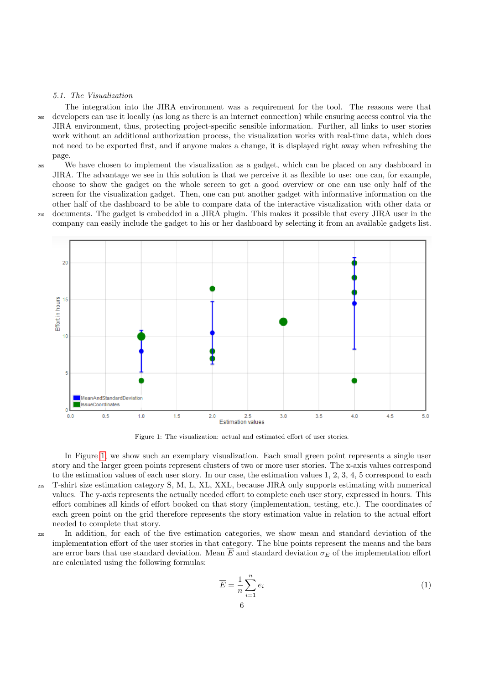#### <span id="page-5-1"></span>5.1. The Visualization

The integration into the JIRA environment was a requirement for the tool. The reasons were that <sup>200</sup> developers can use it locally (as long as there is an internet connection) while ensuring access control via the JIRA environment, thus, protecting project-specific sensible information. Further, all links to user stories work without an additional authorization process, the visualization works with real-time data, which does not need to be exported first, and if anyone makes a change, it is displayed right away when refreshing the page. <sup>205</sup> We have chosen to implement the visualization as a gadget, which can be placed on any dashboard in

JIRA. The advantage we see in this solution is that we perceive it as flexible to use: one can, for example, choose to show the gadget on the whole screen to get a good overview or one can use only half of the screen for the visualization gadget. Then, one can put another gadget with informative information on the other half of the dashboard to be able to compare data of the interactive visualization with other data or <sup>210</sup> documents. The gadget is embedded in a JIRA plugin. This makes it possible that every JIRA user in the

<span id="page-5-0"></span>

Figure 1: The visualization: actual and estimated effort of user stories.

In Figure [1,](#page-5-0) we show such an exemplary visualization. Each small green point represents a single user story and the larger green points represent clusters of two or more user stories. The x-axis values correspond to the estimation values of each user story. In our case, the estimation values 1, 2, 3, 4, 5 correspond to each <sup>215</sup> T-shirt size estimation category S, M, L, XL, XXL, because JIRA only supports estimating with numerical values. The y-axis represents the actually needed effort to complete each user story, expressed in hours. This effort combines all kinds of effort booked on that story (implementation, testing, etc.). The coordinates of each green point on the grid therefore represents the story estimation value in relation to the actual effort needed to complete that story.

<sup>220</sup> In addition, for each of the five estimation categories, we show mean and standard deviation of the

are error bars that use standard deviation. Mean 
$$
\overline{E}
$$
 and standard deviation  $\sigma_E$  of the implementation effort  
are calculated using the following formulas:  

$$
\overline{E} = \frac{1}{n} \sum_{i=1}^{n} e_i
$$
(1)

implementation effort of the user stories in that category. The blue points represent the means and the bars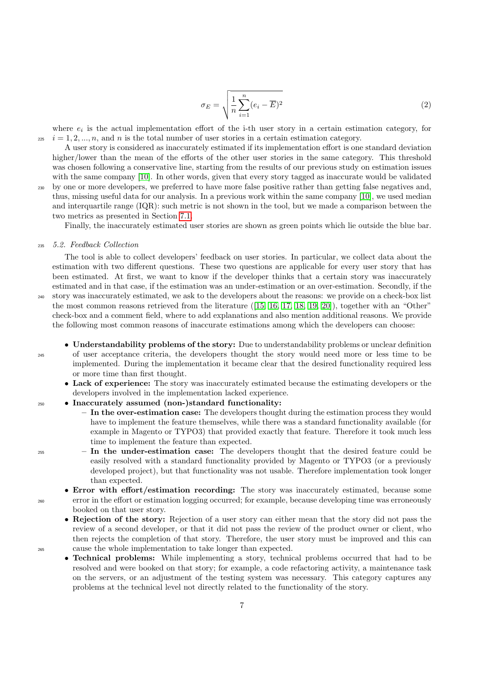$$
\sigma_E = \sqrt{\frac{1}{n} \sum_{i=1}^n (e_i - \overline{E})^2}
$$
\n(2)

where  $e_i$  is the actual implementation effort of the i-th user story in a certain estimation category, for  $i = 1, 2, ..., n$ , and n is the total number of user stories in a certain estimation category.

A user story is considered as inaccurately estimated if its implementation effort is one standard deviation higher/lower than the mean of the efforts of the other user stories in the same category. This threshold was chosen following a conservative line, starting from the results of our previous study on estimation issues with the same company [\[10\]](#page-14-9). In other words, given that every story tagged as inaccurate would be validated <sup>230</sup> by one or more developers, we preferred to have more false positive rather than getting false negatives and,

thus, missing useful data for our analysis. In a previous work within the same company [\[10\]](#page-14-9), we used median and interquartile range (IQR): such metric is not shown in the tool, but we made a comparison between the two metrics as presented in Section [7.1.](#page-8-0)

Finally, the inaccurately estimated user stories are shown as green points which lie outside the blue bar.

# <sup>235</sup> 5.2. Feedback Collection

<span id="page-6-0"></span>The tool is able to collect developers' feedback on user stories. In particular, we collect data about the estimation with two different questions. These two questions are applicable for every user story that has been estimated. At first, we want to know if the developer thinks that a certain story was inaccurately estimated and in that case, if the estimation was an under-estimation or an over-estimation. Secondly, if the

- <sup>240</sup> story was inaccurately estimated, we ask to the developers about the reasons: we provide on a check-box list the most common reasons retrieved from the literature ([\[15,](#page-14-14) [16,](#page-15-0) [17,](#page-15-1) [18,](#page-15-2) [19,](#page-15-3) [20\]](#page-15-4)), together with an "Other" check-box and a comment field, where to add explanations and also mention additional reasons. We provide the following most common reasons of inaccurate estimations among which the developers can choose:
- Understandability problems of the story: Due to understandability problems or unclear definition <sup>245</sup> of user acceptance criteria, the developers thought the story would need more or less time to be implemented. During the implementation it became clear that the desired functionality required less or more time than first thought.
	- Lack of experience: The story was inaccurately estimated because the estimating developers or the developers involved in the implementation lacked experience.

<sup>250</sup> • Inaccurately assumed (non-)standard functionality:

- In the over-estimation case: The developers thought during the estimation process they would have to implement the feature themselves, while there was a standard functionality available (for example in Magento or TYPO3) that provided exactly that feature. Therefore it took much less time to implement the feature than expected.
- $\epsilon_{255}$  In the under-estimation case: The developers thought that the desired feature could be easily resolved with a standard functionality provided by Magento or TYPO3 (or a previously developed project), but that functionality was not usable. Therefore implementation took longer than expected.
- Error with effort/estimation recording: The story was inaccurately estimated, because some <sup>260</sup> error in the effort or estimation logging occurred; for example, because developing time was erroneously booked on that user story.
- Rejection of the story: Rejection of a user story can either mean that the story did not pass the review of a second developer, or that it did not pass the review of the product owner or client, who then rejects the completion of that story. Therefore, the user story must be improved and this can <sup>265</sup> cause the whole implementation to take longer than expected.
	- Technical problems: While implementing a story, technical problems occurred that had to be resolved and were booked on that story; for example, a code refactoring activity, a maintenance task on the servers, or an adjustment of the testing system was necessary. This category captures any problems at the technical level not directly related to the functionality of the story.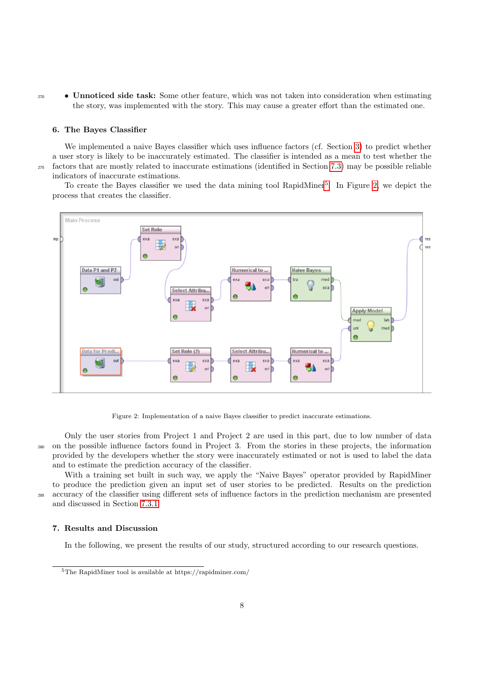$_{270}$  • Unnoticed side task: Some other feature, which was not taken into consideration when estimating the story, was implemented with the story. This may cause a greater effort than the estimated one.

#### <span id="page-7-0"></span>6. The Bayes Classifier

We implemented a naive Bayes classifier which uses influence factors (cf. Section [3\)](#page-2-0) to predict whether a user story is likely to be inaccurately estimated. The classifier is intended as a mean to test whether the <sup>275</sup> factors that are mostly related to inaccurate estimations (identified in Section [7.3\)](#page-11-0) may be possible reliable indicators of inaccurate estimations.

To create the Bayes classifier we used the data mining tool RapidMiner<sup>[5](#page-7-2)</sup>. In Figure [2,](#page-7-3) we depict the process that creates the classifier.

<span id="page-7-3"></span>

Figure 2: Implementation of a naive Bayes classifier to predict inaccurate estimations.

Only the user stories from Project 1 and Project 2 are used in this part, due to low number of data <sup>280</sup> on the possible influence factors found in Project 3. From the stories in these projects, the information provided by the developers whether the story were inaccurately estimated or not is used to label the data and to estimate the prediction accuracy of the classifier.

With a training set built in such way, we apply the "Naive Bayes" operator provided by RapidMiner to produce the prediction given an input set of user stories to be predicted. Results on the prediction <sup>285</sup> accuracy of the classifier using different sets of influence factors in the prediction mechanism are presented and discussed in Section [7.3.1.](#page-12-0)

# <span id="page-7-1"></span>7. Results and Discussion

In the following, we present the results of our study, structured according to our research questions.

<span id="page-7-2"></span> $5$ The RapidMiner tool is available at https://rapidminer.com/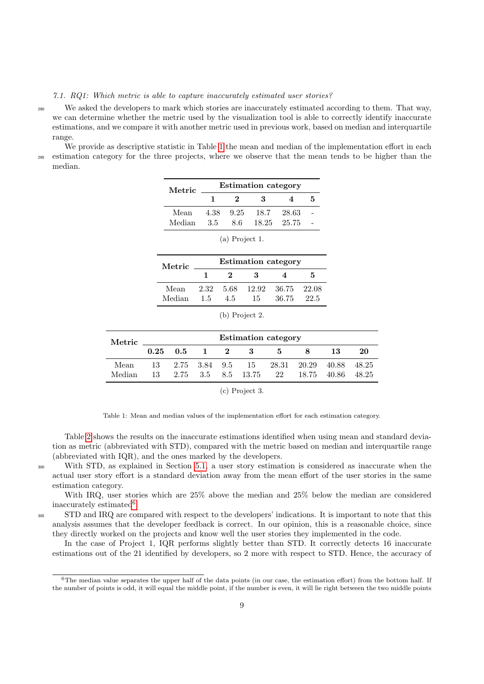# <span id="page-8-0"></span>7.1. RQ1: Which metric is able to capture inaccurately estimated user stories?

<sup>290</sup> We asked the developers to mark which stories are inaccurately estimated according to them. That way, we can determine whether the metric used by the visualization tool is able to correctly identify inaccurate estimations, and we compare it with another metric used in previous work, based on median and interquartile range.

<span id="page-8-1"></span>We provide as descriptive statistic in Table [1](#page-8-1) the mean and median of the implementation effort in each estimation category for the three projects, where we observe that the mean tends to be higher than the median.

| Metric |      | <b>Estimation category</b> |       |       |       |  |  |  |
|--------|------|----------------------------|-------|-------|-------|--|--|--|
|        | 1    | $\bf{2}$                   | 3     | 4     | 5     |  |  |  |
| Mean   | 4.38 | 9.25                       | 18.7  | 28.63 |       |  |  |  |
| Median | 3.5  | 8.6                        | 18.25 | 25.75 |       |  |  |  |
| Metric |      | <b>Estimation category</b> |       |       |       |  |  |  |
|        | 1    | $\bf{2}$                   | 3     | 4     | 5     |  |  |  |
| Mean   | 2.32 | 5.68                       | 12.92 | 36.75 | 22.08 |  |  |  |
|        |      |                            |       |       |       |  |  |  |

| $(b)$ Project 2. |  |
|------------------|--|
|                  |  |

| Metric |    |  |                                   | <b>Estimation category</b>                  |    |    |    |
|--------|----|--|-----------------------------------|---------------------------------------------|----|----|----|
|        |    |  | $0.25 \t 0.5 \t 1 \t 2 \t 3 \t 5$ |                                             | -8 | 13 | 20 |
| Mean   |    |  |                                   | 13 2.75 3.84 9.5 15 28.31 20.29 40.88 48.25 |    |    |    |
| Median | 13 |  |                                   | 2.75 3.5 8.5 13.75 22 18.75 40.86 48.25     |    |    |    |
|        |    |  |                                   |                                             |    |    |    |

(c) Project 3.

Table 1: Mean and median values of the implementation effort for each estimation category.

Table [2](#page-9-0) shows the results on the inaccurate estimations identified when using mean and standard deviation as metric (abbreviated with STD), compared with the metric based on median and interquartile range (abbreviated with IQR), and the ones marked by the developers.

<sup>300</sup> With STD, as explained in Section [5.1,](#page-5-1) a user story estimation is considered as inaccurate when the actual user story effort is a standard deviation away from the mean effort of the user stories in the same estimation category.

With IRQ, user stories which are 25% above the median and 25% below the median are considered inaccurately estimated<sup>[6](#page-8-2)</sup>.

<sup>305</sup> STD and IRQ are compared with respect to the developers' indications. It is important to note that this analysis assumes that the developer feedback is correct. In our opinion, this is a reasonable choice, since they directly worked on the projects and know well the user stories they implemented in the code.

In the case of Project 1, IQR performs slightly better than STD. It correctly detects 16 inaccurate estimations out of the 21 identified by developers, so 2 more with respect to STD. Hence, the accuracy of

<span id="page-8-2"></span><sup>6</sup>The median value separates the upper half of the data points (in our case, the estimation effort) from the bottom half. If the number of points is odd, it will equal the middle point, if the number is even, it will lie right between the two middle points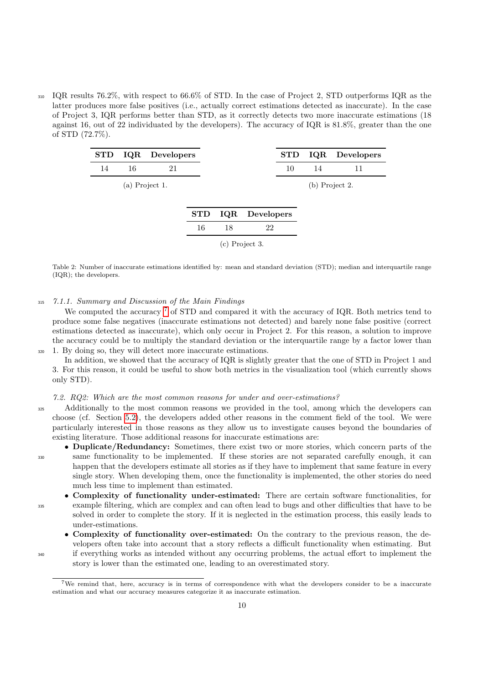<sup>310</sup> IQR results 76.2%, with respect to 66.6% of STD. In the case of Project 2, STD outperforms IQR as the latter produces more false positives (i.e., actually correct estimations detected as inaccurate). In the case of Project 3, IQR performs better than STD, as it correctly detects two more inaccurate estimations (18 against 16, out of 22 individuated by the developers). The accuracy of IQR is 81.8%, greater than the one of STD (72.7%).

<span id="page-9-0"></span>

| <b>STD</b> |    | IQR Developers |            |                |                | <b>STD</b> |    | IQR Developers   |
|------------|----|----------------|------------|----------------|----------------|------------|----|------------------|
| 14         | 16 | 21             |            |                |                | 10         | 14 | 11               |
|            |    | (a) Project 1. |            |                |                |            |    | $(b)$ Project 2. |
|            |    |                |            |                |                |            |    |                  |
|            |    |                | <b>STD</b> |                | IQR Developers |            |    |                  |
|            |    |                | 16         | 18             | 22             |            |    |                  |
|            |    |                |            | $\mathbf{c}$ ) | Project 3.     |            |    |                  |

Table 2: Number of inaccurate estimations identified by: mean and standard deviation (STD); median and interquartile range (IQR); the developers.

## <sup>315</sup> 7.1.1. Summary and Discussion of the Main Findings

We computed the accuracy <sup>[7](#page-9-1)</sup> of STD and compared it with the accuracy of IQR. Both metrics tend to produce some false negatives (inaccurate estimations not detected) and barely none false positive (correct estimations detected as inaccurate), which only occur in Project 2. For this reason, a solution to improve the accuracy could be to multiply the standard deviation or the interquartile range by a factor lower than <sup>320</sup> 1. By doing so, they will detect more inaccurate estimations.

In addition, we showed that the accuracy of IQR is slightly greater that the one of STD in Project 1 and 3. For this reason, it could be useful to show both metrics in the visualization tool (which currently shows only STD).

## 7.2. RQ2: Which are the most common reasons for under and over-estimations?

- <sup>325</sup> Additionally to the most common reasons we provided in the tool, among which the developers can choose (cf. Section [5.2\)](#page-6-0), the developers added other reasons in the comment field of the tool. We were particularly interested in those reasons as they allow us to investigate causes beyond the boundaries of existing literature. Those additional reasons for inaccurate estimations are:
- Duplicate/Redundancy: Sometimes, there exist two or more stories, which concern parts of the <sup>330</sup> same functionality to be implemented. If these stories are not separated carefully enough, it can happen that the developers estimate all stories as if they have to implement that same feature in every single story. When developing them, once the functionality is implemented, the other stories do need much less time to implement than estimated.
- Complexity of functionality under-estimated: There are certain software functionalities, for <sup>335</sup> example filtering, which are complex and can often lead to bugs and other difficulties that have to be solved in order to complete the story. If it is neglected in the estimation process, this easily leads to under-estimations.
- Complexity of functionality over-estimated: On the contrary to the previous reason, the developers often take into account that a story reflects a difficult functionality when estimating. But <sup>340</sup> if everything works as intended without any occurring problems, the actual effort to implement the story is lower than the estimated one, leading to an overestimated story.
- 

<span id="page-9-1"></span><sup>7</sup>We remind that, here, accuracy is in terms of correspondence with what the developers consider to be a inaccurate estimation and what our accuracy measures categorize it as inaccurate estimation.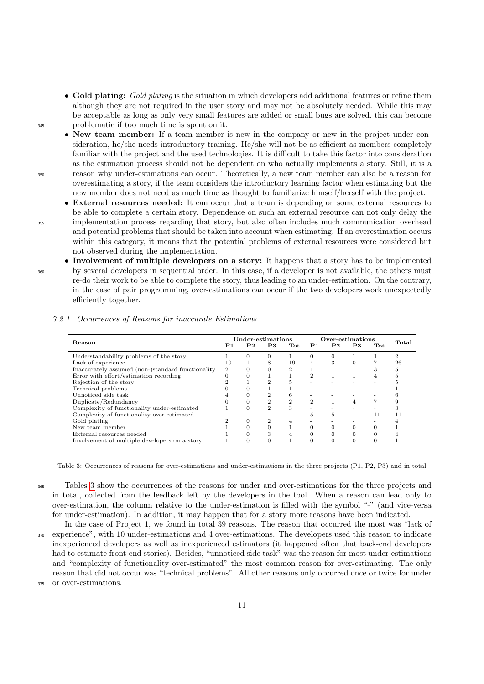- Gold plating: Gold plating is the situation in which developers add additional features or refine them although they are not required in the user story and may not be absolutely needed. While this may be acceptable as long as only very small features are added or small bugs are solved, this can become <sup>345</sup> problematic if too much time is spent on it.
- New team member: If a team member is new in the company or new in the project under consideration, he/she needs introductory training. He/she will not be as efficient as members completely familiar with the project and the used technologies. It is difficult to take this factor into consideration as the estimation process should not be dependent on who actually implements a story. Still, it is a <sup>350</sup> reason why under-estimations can occur. Theoretically, a new team member can also be a reason for overestimating a story, if the team considers the introductory learning factor when estimating but the new member does not need as much time as thought to familiarize himself/herself with the project.
- External resources needed: It can occur that a team is depending on some external resources to be able to complete a certain story. Dependence on such an external resource can not only delay the <sup>355</sup> implementation process regarding that story, but also often includes much communication overhead and potential problems that should be taken into account when estimating. If an overestimation occurs within this category, it means that the potential problems of external resources were considered but not observed during the implementation.
- Involvement of multiple developers on a story: It happens that a story has to be implemented <sup>360</sup> by several developers in sequential order. In this case, if a developer is not available, the others must re-do their work to be able to complete the story, thus leading to an under-estimation. On the contrary, in the case of pair programming, over-estimations can occur if the two developers work unexpectedly efficiently together.

|                                                   |                | Under-estimations |                |                | Over-estimations |                |                |      | Total |
|---------------------------------------------------|----------------|-------------------|----------------|----------------|------------------|----------------|----------------|------|-------|
| Reason                                            | P1             | P <sub>2</sub>    | P <sub>3</sub> | Tot            | P1               | P <sub>2</sub> | P <sub>3</sub> | Tot. |       |
| Understandability problems of the story           |                |                   |                |                | 0                |                |                |      |       |
| Lack of experience                                | 10             |                   |                | 19             |                  | 3              |                |      | 26    |
| Inaccurately assumed (non-)standard functionality | $\overline{2}$ |                   |                |                |                  |                |                |      |       |
| Error with effort/estimation recording            |                |                   |                |                | $\overline{2}$   |                |                | 4    |       |
| Rejection of the story                            |                |                   |                | 5              |                  |                |                |      |       |
| Technical problems                                |                |                   |                |                |                  |                |                |      |       |
| Unnoticed side task                               |                |                   |                | 6              |                  |                |                |      |       |
| Duplicate/Redundancy                              |                |                   |                | $\overline{2}$ | $\overline{2}$   |                | 4              |      |       |
| Complexity of functionality under-estimated       |                |                   | $\overline{2}$ | 3              |                  |                |                |      |       |
| Complexity of functionality over-estimated        |                |                   |                |                | 5                | 5              |                | 11   |       |
| Gold plating                                      |                |                   |                |                |                  |                |                |      |       |
| New team member                                   |                |                   |                |                | $\Omega$         |                |                |      |       |
| External resources needed                         |                |                   | 3              | 4              | 0                |                | $\Omega$       |      |       |
| Involvement of multiple developers on a story     |                |                   |                |                | 0                |                | $\Omega$       |      |       |

### <span id="page-10-0"></span>7.2.1. Occurrences of Reasons for inaccurate Estimations

Table 3: Occurrences of reasons for over-estimations and under-estimations in the three projects (P1, P2, P3) and in total

- <sup>365</sup> Tables [3](#page-10-0) show the occurrences of the reasons for under and over-estimations for the three projects and in total, collected from the feedback left by the developers in the tool. When a reason can lead only to over-estimation, the column relative to the under-estimation is filled with the symbol "-" (and vice-versa for under-estimation). In addition, it may happen that for a story more reasons have been indicated.
- In the case of Project 1, we found in total 39 reasons. The reason that occurred the most was "lack of <sup>370</sup> experience", with 10 under-estimations and 4 over-estimations. The developers used this reason to indicate inexperienced developers as well as inexperienced estimators (it happened often that back-end developers had to estimate front-end stories). Besides, "unnoticed side task" was the reason for most under-estimations and "complexity of functionality over-estimated" the most common reason for over-estimating. The only reason that did not occur was "technical problems". All other reasons only occurred once or twice for under

or over-estimations.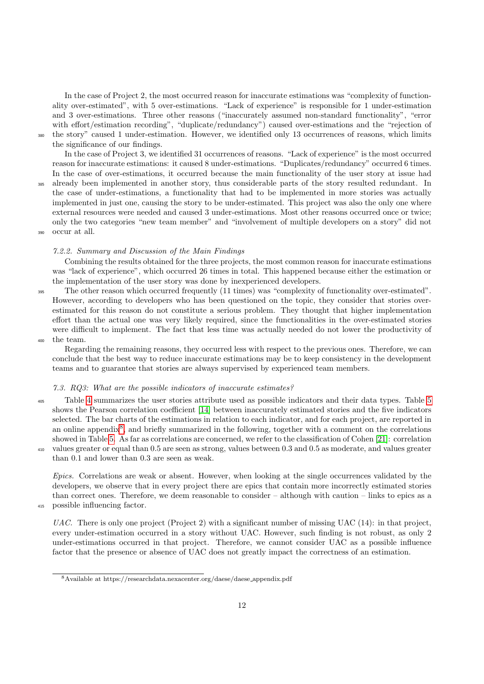In the case of Project 2, the most occurred reason for inaccurate estimations was "complexity of functionality over-estimated", with 5 over-estimations. "Lack of experience" is responsible for 1 under-estimation and 3 over-estimations. Three other reasons ("inaccurately assumed non-standard functionality", "error with effort/estimation recording", "duplicate/redundancy") caused over-estimations and the "rejection of <sup>380</sup> the story" caused 1 under-estimation. However, we identified only 13 occurrences of reasons, which limits

the significance of our findings.

In the case of Project 3, we identified 31 occurrences of reasons. "Lack of experience" is the most occurred reason for inaccurate estimations: it caused 8 under-estimations. "Duplicates/redundancy" occurred 6 times. In the case of over-estimations, it occurred because the main functionality of the user story at issue had

<sup>385</sup> already been implemented in another story, thus considerable parts of the story resulted redundant. In the case of under-estimations, a functionality that had to be implemented in more stories was actually implemented in just one, causing the story to be under-estimated. This project was also the only one where external resources were needed and caused 3 under-estimations. Most other reasons occurred once or twice; only the two categories "new team member" and "involvement of multiple developers on a story" did not <sup>390</sup> occur at all.

## 7.2.2. Summary and Discussion of the Main Findings

Combining the results obtained for the three projects, the most common reason for inaccurate estimations was "lack of experience", which occurred 26 times in total. This happened because either the estimation or the implementation of the user story was done by inexperienced developers.

<sup>395</sup> The other reason which occurred frequently (11 times) was "complexity of functionality over-estimated". However, according to developers who has been questioned on the topic, they consider that stories overestimated for this reason do not constitute a serious problem. They thought that higher implementation effort than the actual one was very likely required, since the functionalities in the over-estimated stories were difficult to implement. The fact that less time was actually needed do not lower the productivity of <sup>400</sup> the team.

Regarding the remaining reasons, they occurred less with respect to the previous ones. Therefore, we can conclude that the best way to reduce inaccurate estimations may be to keep consistency in the development teams and to guarantee that stories are always supervised by experienced team members.

# <span id="page-11-0"></span>7.3. RQ3: What are the possible indicators of inaccurate estimates?

<sup>405</sup> Table [4](#page-12-1) summarizes the user stories attribute used as possible indicators and their data types. Table [5](#page-12-2) shows the Pearson correlation coefficient [\[14\]](#page-14-13) between inaccurately estimated stories and the five indicators selected. The bar charts of the estimations in relation to each indicator, and for each project, are reported in an online appendix<sup>[8](#page-11-1)</sup>, and briefly summarized in the following, together with a comment on the correlations showed in Table [5.](#page-12-2) As far as correlations are concerned, we refer to the classification of Cohen [\[21\]](#page-15-5): correlation <sup>410</sup> values greater or equal than 0.5 are seen as strong, values between 0.3 and 0.5 as moderate, and values greater

than 0.1 and lower than 0.3 are seen as weak.

Epics. Correlations are weak or absent. However, when looking at the single occurrences validated by the developers, we observe that in every project there are epics that contain more incorrectly estimated stories than correct ones. Therefore, we deem reasonable to consider – although with caution – links to epics as a

<sup>415</sup> possible influencing factor.

UAC. There is only one project (Project 2) with a significant number of missing UAC  $(14)$ : in that project, every under-estimation occurred in a story without UAC. However, such finding is not robust, as only 2 under-estimations occurred in that project. Therefore, we cannot consider UAC as a possible influence factor that the presence or absence of UAC does not greatly impact the correctness of an estimation.

<span id="page-11-1"></span><sup>8</sup>Available at https://researchdata.nexacenter.org/daese/daese appendix.pdf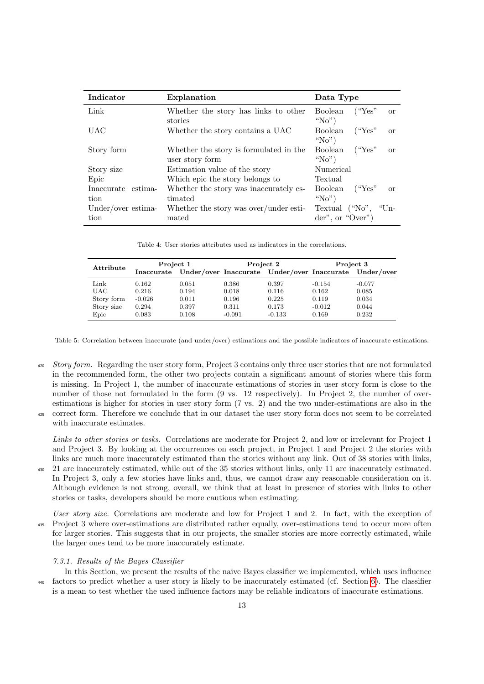<span id="page-12-1"></span>

| Indicator          | Explanation                                               | Data Type                                          |
|--------------------|-----------------------------------------------------------|----------------------------------------------------|
| Link               | Whether the story has links to other<br>stories           | $($ "Yes"<br><b>Boolean</b><br><b>or</b><br>"No")  |
| <b>UAC</b>         | Whether the story contains a UAC                          | $($ "Yes"<br><b>Boolean</b><br>or<br>" $No$ ")     |
| Story form         | Whether the story is formulated in the<br>user story form | Boolean<br>$($ "Yes"<br><sub>or</sub><br>" $No$ ") |
| Story size         | Estimation value of the story                             | Numerical                                          |
| Epic               | Which epic the story belongs to                           | <b>Textual</b>                                     |
| Inaccurate estima- | Whether the story was inaccurately es-                    | $($ "Yes"<br>Boolean<br><b>or</b>                  |
| tion               | timated                                                   | "No")                                              |
| Under/over estima- | Whether the story was over/under esti-                    | Textual ("No",<br>" $Un-$                          |
| tion               | mated                                                     | $der$ ", or "Over")                                |

Table 4: User stories attributes used as indicators in the correlations.

<span id="page-12-2"></span>

|            | Project 1  |       | Project 2 |                                                        | Project 3 |          |  |
|------------|------------|-------|-----------|--------------------------------------------------------|-----------|----------|--|
| Attribute  | Inaccurate |       |           | Under/over Inaccurate Under/over Inaccurate Under/over |           |          |  |
| Link       | 0.162      | 0.051 | 0.386     | 0.397                                                  | $-0.154$  | $-0.077$ |  |
| UAC        | 0.216      | 0.194 | 0.018     | 0.116                                                  | 0.162     | 0.085    |  |
| Story form | $-0.026$   | 0.011 | 0.196     | 0.225                                                  | 0.119     | 0.034    |  |
| Story size | 0.294      | 0.397 | 0.311     | 0.173                                                  | $-0.012$  | 0.044    |  |
| Epic       | 0.083      | 0.108 | $-0.091$  | $-0.133$                                               | 0.169     | 0.232    |  |

Table 5: Correlation between inaccurate (and under/over) estimations and the possible indicators of inaccurate estimations.

<sup>420</sup> Story form. Regarding the user story form, Project 3 contains only three user stories that are not formulated in the recommended form, the other two projects contain a significant amount of stories where this form is missing. In Project 1, the number of inaccurate estimations of stories in user story form is close to the number of those not formulated in the form  $(9 \text{ vs. } 12 \text{ respectively})$ . In Project 2, the number of overestimations is higher for stories in user story form (7 vs. 2) and the two under-estimations are also in the <sup>425</sup> correct form. Therefore we conclude that in our dataset the user story form does not seem to be correlated with inaccurate estimates.

Links to other stories or tasks. Correlations are moderate for Project 2, and low or irrelevant for Project 1 and Project 3. By looking at the occurrences on each project, in Project 1 and Project 2 the stories with links are much more inaccurately estimated than the stories without any link. Out of 38 stories with links,

- <sup>430</sup> 21 are inaccurately estimated, while out of the 35 stories without links, only 11 are inaccurately estimated. In Project 3, only a few stories have links and, thus, we cannot draw any reasonable consideration on it. Although evidence is not strong, overall, we think that at least in presence of stories with links to other stories or tasks, developers should be more cautious when estimating.
- User story size. Correlations are moderate and low for Project 1 and 2. In fact, with the exception of <sup>435</sup> Project 3 where over-estimations are distributed rather equally, over-estimations tend to occur more often for larger stories. This suggests that in our projects, the smaller stories are more correctly estimated, while the larger ones tend to be more inaccurately estimate.

# <span id="page-12-0"></span>7.3.1. Results of the Bayes Classifier

In this Section, we present the results of the naive Bayes classifier we implemented, which uses influence factors to predict whether a user story is likely to be inaccurately estimated (cf. Section [6\)](#page-7-0). The classifier is a mean to test whether the used influence factors may be reliable indicators of inaccurate estimations.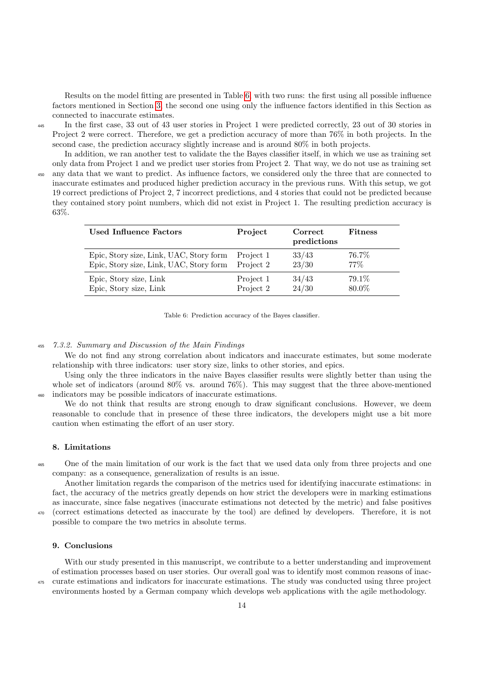Results on the model fitting are presented in Table [6,](#page-13-2) with two runs: the first using all possible influence factors mentioned in Section [3,](#page-2-0) the second one using only the influence factors identified in this Section as connected to inaccurate estimates.

<sup>445</sup> In the first case, 33 out of 43 user stories in Project 1 were predicted correctly, 23 out of 30 stories in Project 2 were correct. Therefore, we get a prediction accuracy of more than 76% in both projects. In the second case, the prediction accuracy slightly increase and is around 80% in both projects.

In addition, we ran another test to validate the the Bayes classifier itself, in which we use as training set only data from Project 1 and we predict user stories from Project 2. That way, we do not use as training set <sup>450</sup> any data that we want to predict. As influence factors, we considered only the three that are connected to inaccurate estimates and produced higher prediction accuracy in the previous runs. With this setup, we got 19 correct predictions of Project 2, 7 incorrect predictions, and 4 stories that could not be predicted because they contained story point numbers, which did not exist in Project 1. The resulting prediction accuracy is 63%.

<span id="page-13-2"></span>

| Used Influence Factors                  | Project   | <b>Correct</b><br>predictions | <b>Fitness</b> |
|-----------------------------------------|-----------|-------------------------------|----------------|
| Epic, Story size, Link, UAC, Story form | Project 1 | 33/43                         | 76.7%          |
| Epic, Story size, Link, UAC, Story form | Project 2 | 23/30                         | 77%            |
| Epic, Story size, Link                  | Project 1 | 34/43                         | 79.1\%         |
| Epic, Story size, Link                  | Project 2 | 24/30                         | 80.0%          |

Table 6: Prediction accuracy of the Bayes classifier.

#### <sup>455</sup> 7.3.2. Summary and Discussion of the Main Findings

We do not find any strong correlation about indicators and inaccurate estimates, but some moderate relationship with three indicators: user story size, links to other stories, and epics.

Using only the three indicators in the naive Bayes classifier results were slightly better than using the whole set of indicators (around 80% vs. around 76%). This may suggest that the three above-mentioned <sup>460</sup> indicators may be possible indicators of inaccurate estimations.

We do not think that results are strong enough to draw significant conclusions. However, we deem reasonable to conclude that in presence of these three indicators, the developers might use a bit more caution when estimating the effort of an user story.

# <span id="page-13-0"></span>8. Limitations

<sup>465</sup> One of the main limitation of our work is the fact that we used data only from three projects and one company: as a consequence, generalization of results is an issue.

Another limitation regards the comparison of the metrics used for identifying inaccurate estimations: in fact, the accuracy of the metrics greatly depends on how strict the developers were in marking estimations as inaccurate, since false negatives (inaccurate estimations not detected by the metric) and false positives

<sup>470</sup> (correct estimations detected as inaccurate by the tool) are defined by developers. Therefore, it is not possible to compare the two metrics in absolute terms.

# <span id="page-13-1"></span>9. Conclusions

With our study presented in this manuscript, we contribute to a better understanding and improvement of estimation processes based on user stories. Our overall goal was to identify most common reasons of inac-<sup>475</sup> curate estimations and indicators for inaccurate estimations. The study was conducted using three project environments hosted by a German company which develops web applications with the agile methodology.

14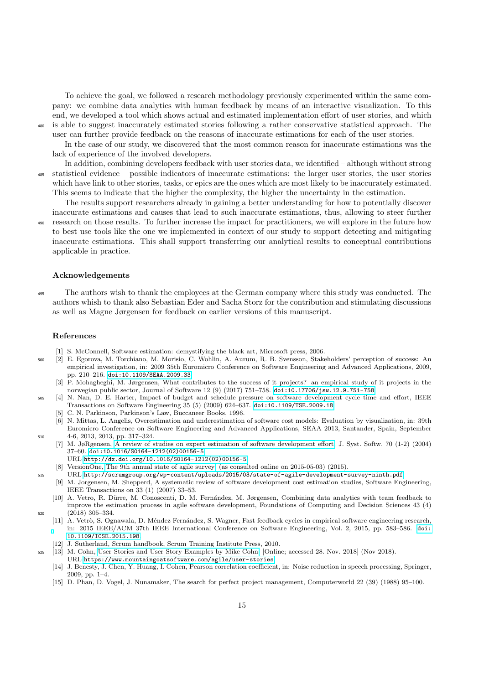To achieve the goal, we followed a research methodology previously experimented within the same company: we combine data analytics with human feedback by means of an interactive visualization. To this end, we developed a tool which shows actual and estimated implementation effort of user stories, and which <sup>480</sup> is able to suggest inaccurately estimated stories following a rather conservative statistical approach. The

user can further provide feedback on the reasons of inaccurate estimations for each of the user stories.

In the case of our study, we discovered that the most common reason for inaccurate estimations was the lack of experience of the involved developers.

In addition, combining developers feedback with user stories data, we identified – although without strong <sup>485</sup> statistical evidence – possible indicators of inaccurate estimations: the larger user stories, the user stories which have link to other stories, tasks, or epics are the ones which are most likely to be inaccurately estimated. This seems to indicate that the higher the complexity, the higher the uncertainty in the estimation.

The results support researchers already in gaining a better understanding for how to potentially discover inaccurate estimations and causes that lead to such inaccurate estimations, thus, allowing to steer further <sup>490</sup> research on those results. To further increase the impact for practitioners, we will explore in the future how to best use tools like the one we implemented in context of our study to support detecting and mitigating

inaccurate estimations. This shall support transferring our analytical results to conceptual contributions applicable in practice.

# Acknowledgements

<sup>495</sup> The authors wish to thank the employees at the German company where this study was conducted. The authors whish to thank also Sebastian Eder and Sacha Storz for the contribution and stimulating discussions as well as Magne Jørgensen for feedback on earlier versions of this manuscript.

#### References

- <span id="page-14-1"></span><span id="page-14-0"></span>[1] S. McConnell, Software estimation: demystifying the black art, Microsoft press, 2006.
- <sup>500</sup> [2] E. Egorova, M. Torchiano, M. Morisio, C. Wohlin, A. Aurum, R. B. Svensson, Stakeholders' perception of success: An empirical investigation, in: 2009 35th Euromicro Conference on Software Engineering and Advanced Applications, 2009, pp. 210–216. [doi:10.1109/SEAA.2009.33](http://dx.doi.org/10.1109/SEAA.2009.33).
	- [3] P. Mohagheghi, M. Jørgensen, What contributes to the success of it projects? an empirical study of it projects in the norwegian public sector, Journal of Software 12 (9) (2017) 751–758. [doi:10.17706/jsw.12.9.751-758](http://dx.doi.org/10.17706/jsw.12.9.751-758).
- <span id="page-14-3"></span><span id="page-14-2"></span><sup>505</sup> [4] N. Nan, D. E. Harter, Impact of budget and schedule pressure on software development cycle time and effort, IEEE Transactions on Software Engineering 35 (5) (2009) 624–637. [doi:10.1109/TSE.2009.18](http://dx.doi.org/10.1109/TSE.2009.18).
	- [5] C. N. Parkinson, Parkinson's Law, Buccaneer Books, 1996.
- <span id="page-14-6"></span><span id="page-14-5"></span><span id="page-14-4"></span>[6] N. Mittas, L. Angelis, Overestimation and underestimation of software cost models: Evaluation by visualization, in: 39th Euromicro Conference on Software Engineering and Advanced Applications, SEAA 2013, Santander, Spain, September <sup>510</sup> 4-6, 2013, 2013, pp. 317–324.
	- [7] M. JøRgensen, [A review of studies on expert estimation of software development effort,](http://dx.doi.org/10.1016/S0164-1212(02)00156-5) J. Syst. Softw. 70 (1-2) (2004) 37–60. [doi:10.1016/S0164-1212\(02\)00156-5](http://dx.doi.org/10.1016/S0164-1212(02)00156-5).
		- URL [http://dx.doi.org/10.1016/S0164-1212\(02\)00156-5](http://dx.doi.org/10.1016/S0164-1212(02)00156-5)
	- [8] VersionOne, [The 9th annual state of agile survey,](http://scrumgroup.org/wp-content/uploads/2015/03/state-of-agile-development-survey-ninth.pdf) (as consulted online on 2015-05-03) (2015).
- <span id="page-14-8"></span><span id="page-14-7"></span><sup>515</sup> URL <http://scrumgroup.org/wp-content/uploads/2015/03/state-of-agile-development-survey-ninth.pdf> [9] M. Jorgensen, M. Shepperd, A systematic review of software development cost estimation studies, Software Engineering,
	- IEEE Transactions on 33 (1) (2007) 33–53.
- <span id="page-14-10"></span><span id="page-14-9"></span>[10] A. Vetro, R. Dürre, M. Conoscenti, D. M. Fernández, M. Jørgensen, Combining data analytics with team feedback to improve the estimation process in agile software development, Foundations of Computing and Decision Sciences 43 (4) <sup>520</sup> (2018) 305–334.
	- [11] A. Vetrò, S. Ognawala, D. Méndez Fernández, S. Wagner, Fast feedback cycles in empirical software engineering research, in: 2015 IEEE/ACM 37th IEEE International Conference on Software Engineering, Vol. 2, 2015, pp. 583–586. [doi:](http://dx.doi.org/10.1109/ICSE.2015.198) [10.1109/ICSE.2015.198](http://dx.doi.org/10.1109/ICSE.2015.198).
- <span id="page-14-12"></span><span id="page-14-11"></span>[12] J. Sutherland, Scrum handbook, Scrum Training Institute Press, 2010.
- <span id="page-14-14"></span><span id="page-14-13"></span><sup>525</sup> [13] M. Cohn, [User Stories and User Story Examples by Mike Cohn,](https://www.mountaingoatsoftware.com/agile/user-stories) [Online; accessed 28. Nov. 2018] (Nov 2018).
	- URL <https://www.mountaingoatsoftware.com/agile/user-stories> [14] J. Benesty, J. Chen, Y. Huang, I. Cohen, Pearson correlation coefficient, in: Noise reduction in speech processing, Springer, 2009, pp. 1–4.
	- [15] D. Phan, D. Vogel, J. Nunamaker, The search for perfect project management, Computerworld 22 (39) (1988) 95–100.